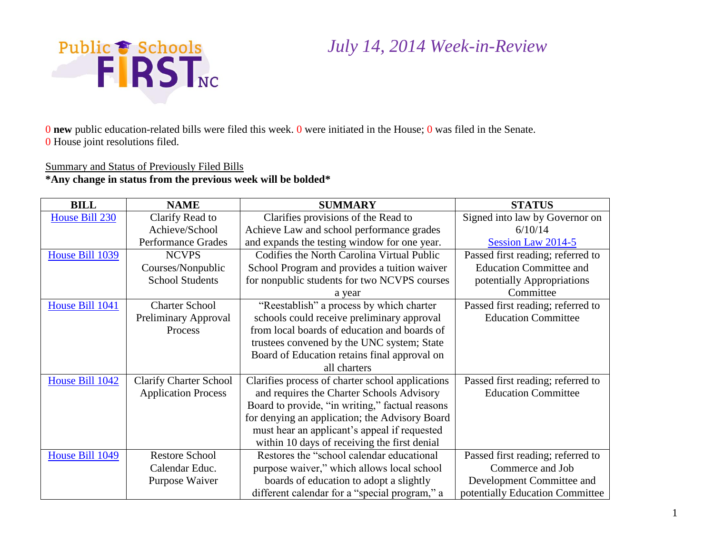

0 **new** public education-related bills were filed this week. 0 were initiated in the House; 0 was filed in the Senate. 0 House joint resolutions filed.

#### Summary and Status of Previously Filed Bills

#### **\*Any change in status from the previous week will be bolded\***

| <b>BILL</b>     | <b>NAME</b>                   | <b>SUMMARY</b>                                   | <b>STATUS</b>                     |
|-----------------|-------------------------------|--------------------------------------------------|-----------------------------------|
| House Bill 230  | Clarify Read to               | Clarifies provisions of the Read to              | Signed into law by Governor on    |
|                 | Achieve/School                | Achieve Law and school performance grades        | 6/10/14                           |
|                 | <b>Performance Grades</b>     | and expands the testing window for one year.     | Session Law 2014-5                |
| House Bill 1039 | <b>NCVPS</b>                  | Codifies the North Carolina Virtual Public       | Passed first reading; referred to |
|                 | Courses/Nonpublic             | School Program and provides a tuition waiver     | <b>Education Committee and</b>    |
|                 | <b>School Students</b>        | for nonpublic students for two NCVPS courses     | potentially Appropriations        |
|                 |                               | a year                                           | Committee                         |
| House Bill 1041 | <b>Charter School</b>         | "Reestablish" a process by which charter         | Passed first reading; referred to |
|                 | Preliminary Approval          | schools could receive preliminary approval       | <b>Education Committee</b>        |
|                 | Process                       | from local boards of education and boards of     |                                   |
|                 |                               | trustees convened by the UNC system; State       |                                   |
|                 |                               | Board of Education retains final approval on     |                                   |
|                 |                               | all charters                                     |                                   |
| House Bill 1042 | <b>Clarify Charter School</b> | Clarifies process of charter school applications | Passed first reading; referred to |
|                 | <b>Application Process</b>    | and requires the Charter Schools Advisory        | <b>Education Committee</b>        |
|                 |                               | Board to provide, "in writing," factual reasons  |                                   |
|                 |                               | for denying an application; the Advisory Board   |                                   |
|                 |                               | must hear an applicant's appeal if requested     |                                   |
|                 |                               | within 10 days of receiving the first denial     |                                   |
| House Bill 1049 | <b>Restore School</b>         | Restores the "school calendar educational        | Passed first reading; referred to |
|                 | Calendar Educ.                | purpose waiver," which allows local school       | Commerce and Job                  |
|                 | Purpose Waiver                | boards of education to adopt a slightly          | Development Committee and         |
|                 |                               | different calendar for a "special program," a    | potentially Education Committee   |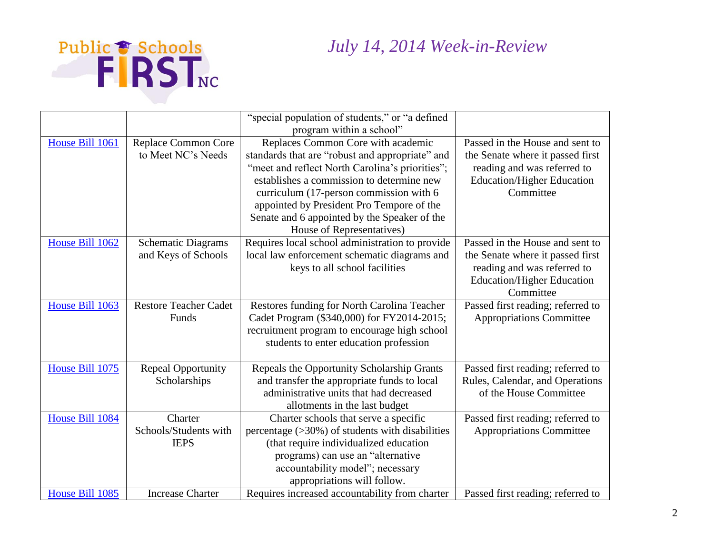



|                 |                              | "special population of students," or "a defined    |                                   |
|-----------------|------------------------------|----------------------------------------------------|-----------------------------------|
|                 |                              | program within a school"                           |                                   |
| House Bill 1061 | Replace Common Core          | Replaces Common Core with academic                 | Passed in the House and sent to   |
|                 | to Meet NC's Needs           | standards that are "robust and appropriate" and    | the Senate where it passed first  |
|                 |                              | "meet and reflect North Carolina's priorities";    | reading and was referred to       |
|                 |                              | establishes a commission to determine new          | <b>Education/Higher Education</b> |
|                 |                              | curriculum (17-person commission with 6            | Committee                         |
|                 |                              | appointed by President Pro Tempore of the          |                                   |
|                 |                              | Senate and 6 appointed by the Speaker of the       |                                   |
|                 |                              | House of Representatives)                          |                                   |
| House Bill 1062 | <b>Schematic Diagrams</b>    | Requires local school administration to provide    | Passed in the House and sent to   |
|                 | and Keys of Schools          | local law enforcement schematic diagrams and       | the Senate where it passed first  |
|                 |                              | keys to all school facilities                      | reading and was referred to       |
|                 |                              |                                                    | <b>Education/Higher Education</b> |
|                 |                              |                                                    | Committee                         |
| House Bill 1063 | <b>Restore Teacher Cadet</b> | Restores funding for North Carolina Teacher        | Passed first reading; referred to |
|                 | Funds                        | Cadet Program (\$340,000) for FY2014-2015;         | <b>Appropriations Committee</b>   |
|                 |                              | recruitment program to encourage high school       |                                   |
|                 |                              | students to enter education profession             |                                   |
|                 |                              |                                                    |                                   |
| House Bill 1075 | <b>Repeal Opportunity</b>    | Repeals the Opportunity Scholarship Grants         | Passed first reading; referred to |
|                 | Scholarships                 | and transfer the appropriate funds to local        | Rules, Calendar, and Operations   |
|                 |                              | administrative units that had decreased            | of the House Committee            |
|                 |                              | allotments in the last budget                      |                                   |
| House Bill 1084 | Charter                      | Charter schools that serve a specific              | Passed first reading; referred to |
|                 | Schools/Students with        | percentage $($ >30%) of students with disabilities | <b>Appropriations Committee</b>   |
|                 | <b>IEPS</b>                  | (that require individualized education             |                                   |
|                 |                              | programs) can use an "alternative                  |                                   |
|                 |                              | accountability model"; necessary                   |                                   |
|                 |                              | appropriations will follow.                        |                                   |
| House Bill 1085 | <b>Increase Charter</b>      | Requires increased accountability from charter     | Passed first reading; referred to |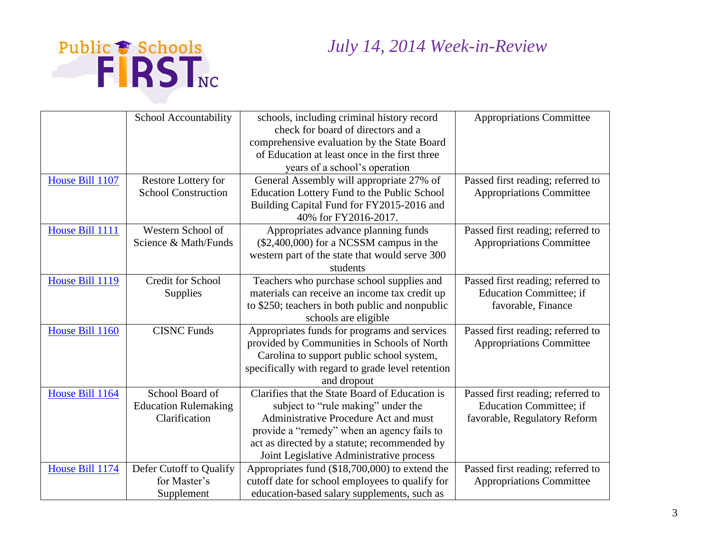

|                 | School Accountability       | schools, including criminal history record        | <b>Appropriations Committee</b>   |
|-----------------|-----------------------------|---------------------------------------------------|-----------------------------------|
|                 |                             | check for board of directors and a                |                                   |
|                 |                             | comprehensive evaluation by the State Board       |                                   |
|                 |                             | of Education at least once in the first three     |                                   |
|                 |                             | years of a school's operation                     |                                   |
| House Bill 1107 | Restore Lottery for         | General Assembly will appropriate 27% of          | Passed first reading; referred to |
|                 | <b>School Construction</b>  | Education Lottery Fund to the Public School       | <b>Appropriations Committee</b>   |
|                 |                             | Building Capital Fund for FY2015-2016 and         |                                   |
|                 |                             | 40% for FY2016-2017.                              |                                   |
| House Bill 1111 | Western School of           | Appropriates advance planning funds               | Passed first reading; referred to |
|                 | Science & Math/Funds        | $($2,400,000)$ for a NCSSM campus in the          | <b>Appropriations Committee</b>   |
|                 |                             | western part of the state that would serve 300    |                                   |
|                 |                             | students                                          |                                   |
| House Bill 1119 | <b>Credit for School</b>    | Teachers who purchase school supplies and         | Passed first reading; referred to |
|                 | Supplies                    | materials can receive an income tax credit up     | <b>Education Committee; if</b>    |
|                 |                             | to \$250; teachers in both public and nonpublic   | favorable, Finance                |
|                 |                             | schools are eligible                              |                                   |
| House Bill 1160 | <b>CISNC Funds</b>          | Appropriates funds for programs and services      | Passed first reading; referred to |
|                 |                             | provided by Communities in Schools of North       | <b>Appropriations Committee</b>   |
|                 |                             | Carolina to support public school system,         |                                   |
|                 |                             | specifically with regard to grade level retention |                                   |
|                 |                             | and dropout                                       |                                   |
| House Bill 1164 | School Board of             | Clarifies that the State Board of Education is    | Passed first reading; referred to |
|                 | <b>Education Rulemaking</b> | subject to "rule making" under the                | <b>Education Committee; if</b>    |
|                 | Clarification               | Administrative Procedure Act and must             | favorable, Regulatory Reform      |
|                 |                             | provide a "remedy" when an agency fails to        |                                   |
|                 |                             | act as directed by a statute; recommended by      |                                   |
|                 |                             | Joint Legislative Administrative process          |                                   |
| House Bill 1174 | Defer Cutoff to Qualify     | Appropriates fund (\$18,700,000) to extend the    | Passed first reading; referred to |
|                 | for Master's                | cutoff date for school employees to qualify for   | <b>Appropriations Committee</b>   |
|                 | Supplement                  | education-based salary supplements, such as       |                                   |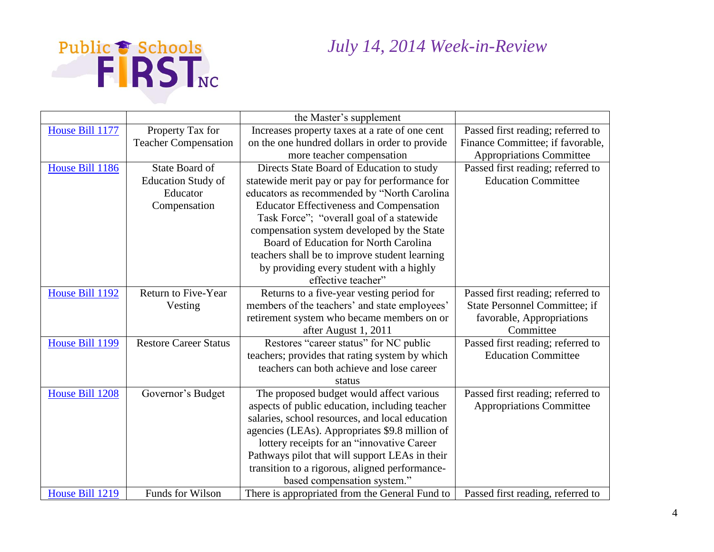

|                 |                              | the Master's supplement                         |                                      |
|-----------------|------------------------------|-------------------------------------------------|--------------------------------------|
| House Bill 1177 | Property Tax for             | Increases property taxes at a rate of one cent  | Passed first reading; referred to    |
|                 | <b>Teacher Compensation</b>  | on the one hundred dollars in order to provide  | Finance Committee; if favorable,     |
|                 |                              | more teacher compensation                       | <b>Appropriations Committee</b>      |
| House Bill 1186 | <b>State Board of</b>        | Directs State Board of Education to study       | Passed first reading; referred to    |
|                 | <b>Education Study of</b>    | statewide merit pay or pay for performance for  | <b>Education Committee</b>           |
|                 | Educator                     | educators as recommended by "North Carolina     |                                      |
|                 | Compensation                 | <b>Educator Effectiveness and Compensation</b>  |                                      |
|                 |                              | Task Force"; "overall goal of a statewide       |                                      |
|                 |                              | compensation system developed by the State      |                                      |
|                 |                              | Board of Education for North Carolina           |                                      |
|                 |                              | teachers shall be to improve student learning   |                                      |
|                 |                              | by providing every student with a highly        |                                      |
|                 |                              | effective teacher"                              |                                      |
| House Bill 1192 | Return to Five-Year          | Returns to a five-year vesting period for       | Passed first reading; referred to    |
|                 | Vesting                      | members of the teachers' and state employees'   | <b>State Personnel Committee; if</b> |
|                 |                              | retirement system who became members on or      | favorable, Appropriations            |
|                 |                              | after August 1, 2011                            | Committee                            |
| House Bill 1199 | <b>Restore Career Status</b> | Restores "career status" for NC public          | Passed first reading; referred to    |
|                 |                              | teachers; provides that rating system by which  | <b>Education Committee</b>           |
|                 |                              | teachers can both achieve and lose career       |                                      |
|                 |                              | status                                          |                                      |
| House Bill 1208 | Governor's Budget            | The proposed budget would affect various        | Passed first reading; referred to    |
|                 |                              | aspects of public education, including teacher  | <b>Appropriations Committee</b>      |
|                 |                              | salaries, school resources, and local education |                                      |
|                 |                              | agencies (LEAs). Appropriates \$9.8 million of  |                                      |
|                 |                              | lottery receipts for an "innovative Career      |                                      |
|                 |                              | Pathways pilot that will support LEAs in their  |                                      |
|                 |                              | transition to a rigorous, aligned performance-  |                                      |
|                 |                              | based compensation system."                     |                                      |
| House Bill 1219 | Funds for Wilson             | There is appropriated from the General Fund to  | Passed first reading, referred to    |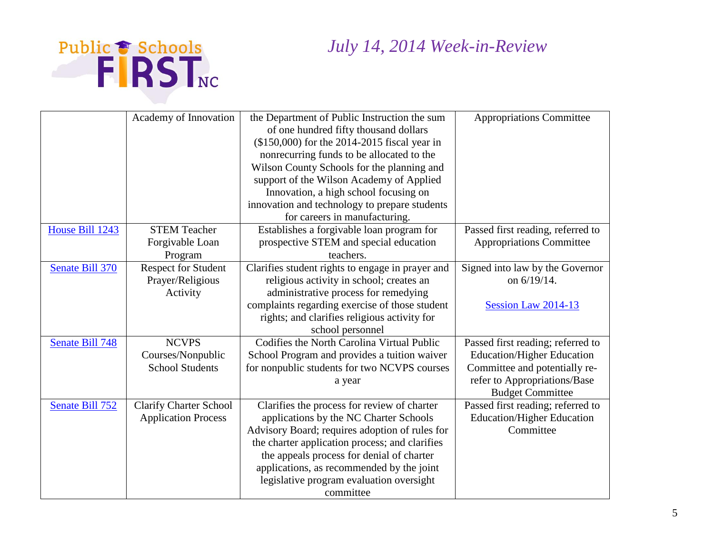

|                 | Academy of Innovation         | the Department of Public Instruction the sum     | <b>Appropriations Committee</b>   |
|-----------------|-------------------------------|--------------------------------------------------|-----------------------------------|
|                 |                               | of one hundred fifty thousand dollars            |                                   |
|                 |                               | (\$150,000) for the 2014-2015 fiscal year in     |                                   |
|                 |                               | nonrecurring funds to be allocated to the        |                                   |
|                 |                               | Wilson County Schools for the planning and       |                                   |
|                 |                               | support of the Wilson Academy of Applied         |                                   |
|                 |                               | Innovation, a high school focusing on            |                                   |
|                 |                               | innovation and technology to prepare students    |                                   |
|                 |                               | for careers in manufacturing.                    |                                   |
| House Bill 1243 | <b>STEM Teacher</b>           | Establishes a forgivable loan program for        | Passed first reading, referred to |
|                 | Forgivable Loan               | prospective STEM and special education           | <b>Appropriations Committee</b>   |
|                 | Program                       | teachers.                                        |                                   |
| Senate Bill 370 | <b>Respect for Student</b>    | Clarifies student rights to engage in prayer and | Signed into law by the Governor   |
|                 | Prayer/Religious              | religious activity in school; creates an         | on 6/19/14.                       |
|                 | Activity                      | administrative process for remedying             |                                   |
|                 |                               | complaints regarding exercise of those student   | Session Law 2014-13               |
|                 |                               | rights; and clarifies religious activity for     |                                   |
|                 |                               | school personnel                                 |                                   |
| Senate Bill 748 | <b>NCVPS</b>                  | Codifies the North Carolina Virtual Public       | Passed first reading; referred to |
|                 | Courses/Nonpublic             | School Program and provides a tuition waiver     | <b>Education/Higher Education</b> |
|                 | <b>School Students</b>        | for nonpublic students for two NCVPS courses     | Committee and potentially re-     |
|                 |                               | a year                                           | refer to Appropriations/Base      |
|                 |                               |                                                  | <b>Budget Committee</b>           |
| Senate Bill 752 | <b>Clarify Charter School</b> | Clarifies the process for review of charter      | Passed first reading; referred to |
|                 | <b>Application Process</b>    | applications by the NC Charter Schools           | <b>Education/Higher Education</b> |
|                 |                               | Advisory Board; requires adoption of rules for   | Committee                         |
|                 |                               | the charter application process; and clarifies   |                                   |
|                 |                               | the appeals process for denial of charter        |                                   |
|                 |                               | applications, as recommended by the joint        |                                   |
|                 |                               | legislative program evaluation oversight         |                                   |
|                 |                               | committee                                        |                                   |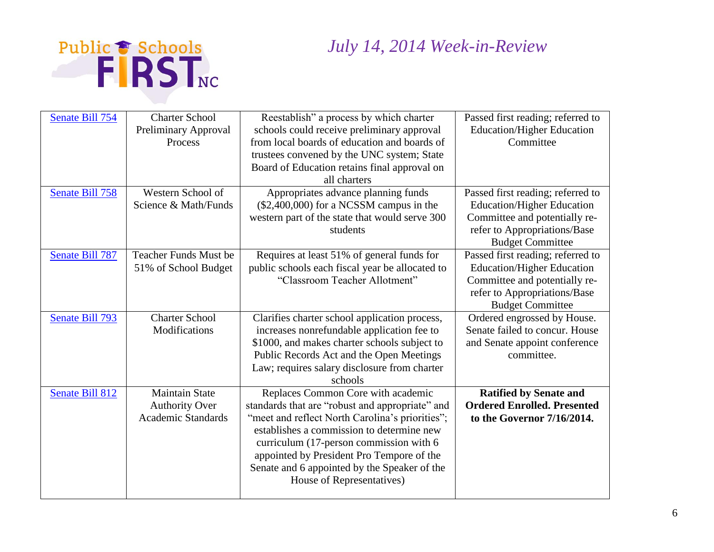

| Senate Bill 754 | <b>Charter School</b><br>Preliminary Approval<br>Process                    | Reestablish" a process by which charter<br>schools could receive preliminary approval<br>from local boards of education and boards of<br>trustees convened by the UNC system; State<br>Board of Education retains final approval on<br>all charters                                                                                                        | Passed first reading; referred to<br><b>Education/Higher Education</b><br>Committee                                                                                |
|-----------------|-----------------------------------------------------------------------------|------------------------------------------------------------------------------------------------------------------------------------------------------------------------------------------------------------------------------------------------------------------------------------------------------------------------------------------------------------|--------------------------------------------------------------------------------------------------------------------------------------------------------------------|
| Senate Bill 758 | Western School of<br>Science & Math/Funds                                   | Appropriates advance planning funds<br>$($2,400,000)$ for a NCSSM campus in the<br>western part of the state that would serve 300<br>students                                                                                                                                                                                                              | Passed first reading; referred to<br><b>Education/Higher Education</b><br>Committee and potentially re-<br>refer to Appropriations/Base<br><b>Budget Committee</b> |
| Senate Bill 787 | Teacher Funds Must be<br>51% of School Budget                               | Requires at least 51% of general funds for<br>public schools each fiscal year be allocated to<br>"Classroom Teacher Allotment"                                                                                                                                                                                                                             | Passed first reading; referred to<br><b>Education/Higher Education</b><br>Committee and potentially re-<br>refer to Appropriations/Base<br><b>Budget Committee</b> |
| Senate Bill 793 | <b>Charter School</b><br>Modifications                                      | Clarifies charter school application process,<br>increases nonrefundable application fee to<br>\$1000, and makes charter schools subject to<br>Public Records Act and the Open Meetings<br>Law; requires salary disclosure from charter<br>schools                                                                                                         | Ordered engrossed by House.<br>Senate failed to concur. House<br>and Senate appoint conference<br>committee.                                                       |
| Senate Bill 812 | <b>Maintain State</b><br><b>Authority Over</b><br><b>Academic Standards</b> | Replaces Common Core with academic<br>standards that are "robust and appropriate" and<br>"meet and reflect North Carolina's priorities";<br>establishes a commission to determine new<br>curriculum (17-person commission with 6<br>appointed by President Pro Tempore of the<br>Senate and 6 appointed by the Speaker of the<br>House of Representatives) | <b>Ratified by Senate and</b><br><b>Ordered Enrolled. Presented</b><br>to the Governor 7/16/2014.                                                                  |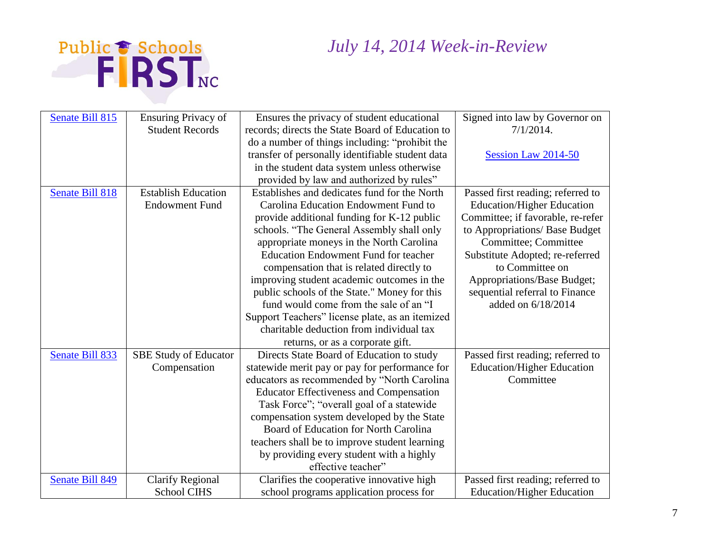



| Senate Bill 815        | <b>Ensuring Privacy of</b>   | Ensures the privacy of student educational       | Signed into law by Governor on    |
|------------------------|------------------------------|--------------------------------------------------|-----------------------------------|
|                        | <b>Student Records</b>       | records; directs the State Board of Education to | $7/1/2014$ .                      |
|                        |                              | do a number of things including: "prohibit the   |                                   |
|                        |                              | transfer of personally identifiable student data | Session Law 2014-50               |
|                        |                              | in the student data system unless otherwise      |                                   |
|                        |                              | provided by law and authorized by rules"         |                                   |
| <b>Senate Bill 818</b> | <b>Establish Education</b>   | Establishes and dedicates fund for the North     | Passed first reading; referred to |
|                        | <b>Endowment Fund</b>        | Carolina Education Endowment Fund to             | <b>Education/Higher Education</b> |
|                        |                              | provide additional funding for K-12 public       | Committee; if favorable, re-refer |
|                        |                              | schools. "The General Assembly shall only        | to Appropriations/ Base Budget    |
|                        |                              | appropriate moneys in the North Carolina         | Committee; Committee              |
|                        |                              | <b>Education Endowment Fund for teacher</b>      | Substitute Adopted; re-referred   |
|                        |                              | compensation that is related directly to         | to Committee on                   |
|                        |                              | improving student academic outcomes in the       | Appropriations/Base Budget;       |
|                        |                              | public schools of the State." Money for this     | sequential referral to Finance    |
|                        |                              | fund would come from the sale of an "I           | added on 6/18/2014                |
|                        |                              | Support Teachers" license plate, as an itemized  |                                   |
|                        |                              | charitable deduction from individual tax         |                                   |
|                        |                              | returns, or as a corporate gift.                 |                                   |
| Senate Bill 833        | <b>SBE Study of Educator</b> | Directs State Board of Education to study        | Passed first reading; referred to |
|                        | Compensation                 | statewide merit pay or pay for performance for   | <b>Education/Higher Education</b> |
|                        |                              | educators as recommended by "North Carolina      | Committee                         |
|                        |                              | <b>Educator Effectiveness and Compensation</b>   |                                   |
|                        |                              | Task Force"; "overall goal of a statewide        |                                   |
|                        |                              | compensation system developed by the State       |                                   |
|                        |                              | Board of Education for North Carolina            |                                   |
|                        |                              | teachers shall be to improve student learning    |                                   |
|                        |                              | by providing every student with a highly         |                                   |
|                        |                              | effective teacher"                               |                                   |
| Senate Bill 849        | <b>Clarify Regional</b>      | Clarifies the cooperative innovative high        | Passed first reading; referred to |
|                        | <b>School CIHS</b>           | school programs application process for          | <b>Education/Higher Education</b> |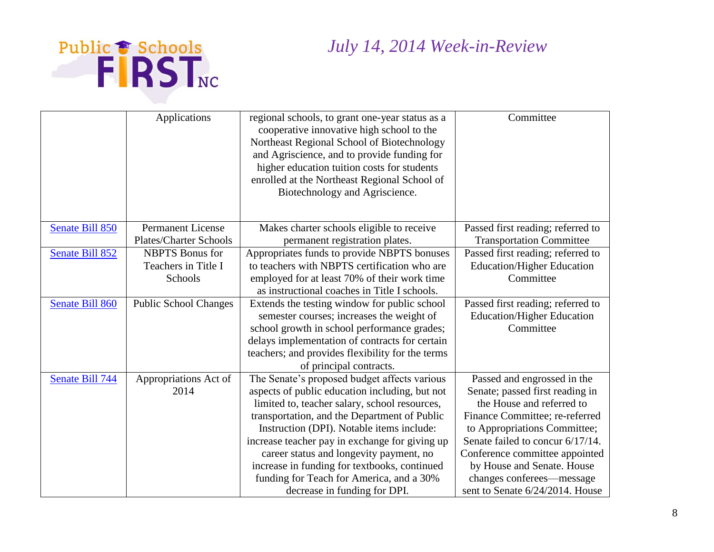

|                        | Applications                  | regional schools, to grant one-year status as a<br>cooperative innovative high school to the<br>Northeast Regional School of Biotechnology<br>and Agriscience, and to provide funding for | Committee                                      |
|------------------------|-------------------------------|-------------------------------------------------------------------------------------------------------------------------------------------------------------------------------------------|------------------------------------------------|
|                        |                               | higher education tuition costs for students<br>enrolled at the Northeast Regional School of<br>Biotechnology and Agriscience.                                                             |                                                |
| Senate Bill 850        | <b>Permanent License</b>      | Makes charter schools eligible to receive                                                                                                                                                 | Passed first reading; referred to              |
|                        | <b>Plates/Charter Schools</b> | permanent registration plates.                                                                                                                                                            | <b>Transportation Committee</b>                |
| Senate Bill 852        | <b>NBPTS</b> Bonus for        | Appropriates funds to provide NBPTS bonuses                                                                                                                                               | Passed first reading; referred to              |
|                        | Teachers in Title I           | to teachers with NBPTS certification who are                                                                                                                                              | <b>Education/Higher Education</b>              |
|                        | Schools                       | employed for at least 70% of their work time                                                                                                                                              | Committee                                      |
|                        |                               | as instructional coaches in Title I schools.                                                                                                                                              |                                                |
| <b>Senate Bill 860</b> | <b>Public School Changes</b>  | Extends the testing window for public school                                                                                                                                              | Passed first reading; referred to              |
|                        |                               | semester courses; increases the weight of                                                                                                                                                 | <b>Education/Higher Education</b><br>Committee |
|                        |                               | school growth in school performance grades;<br>delays implementation of contracts for certain                                                                                             |                                                |
|                        |                               | teachers; and provides flexibility for the terms                                                                                                                                          |                                                |
|                        |                               | of principal contracts.                                                                                                                                                                   |                                                |
| Senate Bill 744        | Appropriations Act of         | The Senate's proposed budget affects various                                                                                                                                              | Passed and engrossed in the                    |
|                        | 2014                          | aspects of public education including, but not                                                                                                                                            | Senate; passed first reading in                |
|                        |                               | limited to, teacher salary, school resources,                                                                                                                                             | the House and referred to                      |
|                        |                               | transportation, and the Department of Public                                                                                                                                              | Finance Committee; re-referred                 |
|                        |                               | Instruction (DPI). Notable items include:                                                                                                                                                 | to Appropriations Committee;                   |
|                        |                               | increase teacher pay in exchange for giving up                                                                                                                                            | Senate failed to concur 6/17/14.               |
|                        |                               | career status and longevity payment, no                                                                                                                                                   | Conference committee appointed                 |
|                        |                               | increase in funding for textbooks, continued                                                                                                                                              | by House and Senate. House                     |
|                        |                               | funding for Teach for America, and a 30%                                                                                                                                                  | changes conferees—message                      |
|                        |                               | decrease in funding for DPI.                                                                                                                                                              | sent to Senate 6/24/2014. House                |